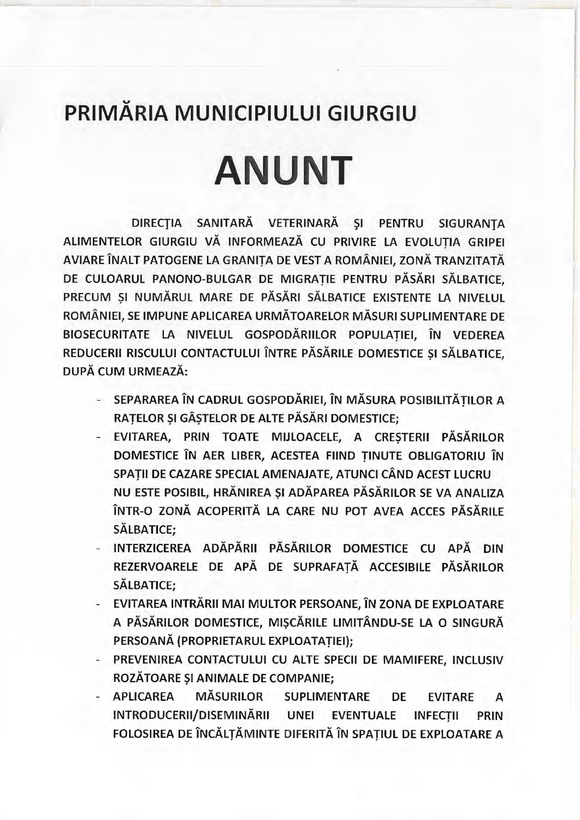## **u PRIMARIA MUNICIPIULUI GIURGIU**

## **ANUNT**

DIRECȚIA SANITARĂ VETERINARĂ ȘI PENTRU SIGURANȚA ALIMENTELOR GIURGIU VĂ INFORMEAZĂ CU PRIVIRE LA EVOLUTIA GRIPEI AVIARE ÎNALT PATOGENE LA GRANITA DE VEST A ROMÂNIEI, ZONĂ TRANZITATĂ DE CULOARUL PANONO-BULGAR DE MIGRATIE PENTRU PĂSĂRI SĂLBATICE, PRECUM ȘI NUMĂRUL MARE DE PĂSĂRI SĂLBATICE EXISTENTE LA NIVELUL ROMANIEI, SE IMPUNE APLICAREA URMATOARELOR MASURI SUPLIMENTARE DE BIOSECURITATE LA NIVELUL GOSPODĂRIILOR POPULATIEI, ÎN VEDEREA REDUCERII RISCULUI CONTACTULUI ÎNTRE PĂSĂRILE DOMESTICE ȘI SĂLBATICE. DUPA CUM URMEAZA:

- SEPARAREA ÎN CADRUL GOSPODĂRIEI, ÎN MĂSURA POSIBILITĂTILOR A RATELOR ȘI GÂSTELOR DE ALTE PĂSĂRI DOMESTICE;
- EVITAREA, PRIN TOATE MIJLOACELE, A CRESTERII PĂSĂRILOR DOMESTICE ÎN AER LIBER, ACESTEA FIIND TINUTE OBLIGATORIU ÎN SPATII DE CAZARE SPECIAL AMENAJATE, ATUNCI CÂND ACEST LUCRU NU ESTE POSIBIL, HRĂNIREA ȘI ADĂPAREA PĂSĂRILOR SE VA ANALIZA ÎNTR-O ZONĂ ACOPERITĂ LA CARE NU POT AVEA ACCES PĂSĂRILE SALBATICE;
- INTERZICEREA ADĂPĂRII PĂSĂRILOR DOMESTICE CU APĂ DIN REZERVOARELE DE APĂ DE SUPRAFAȚĂ ACCESIBILE PĂSĂRILOR SĂLBATICE;
- EVITAREA INTRĂRII MAI MULTOR PERSOANE, ÎN ZONA DE EXPLOATARE A PĂSĂRILOR DOMESTICE, MISCĂRILE LIMITÂNDU-SE LA O SINGURĂ PERSOANA (PROPRIETARUL EXPLOATATIEI);
- PREVENIREA CONTACTULUI CU ALTE SPECII DE MAMIFERE, INCLUSIV ROZĂTOARE ȘI ANIMALE DE COMPANIE;
- APLICAREA MASURILOR SUPLIMENTARE DE EVITARE A INTRODUCERII/DISEMINARII UNEI EVENTUALE INFECTII PRIN FOLOSIREA DE ÎNCĂLȚĂMINTE DIFERITĂ ÎN SPAȚIUL DE EXPLOATARE A